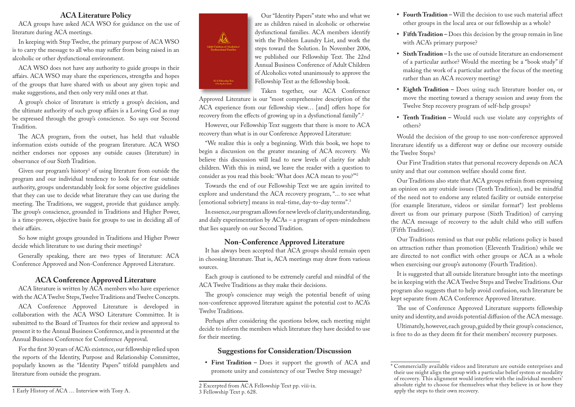#### **ACA Literature Policy**

ACA groups have asked ACA WSO for guidance on the use of literature during ACA meetings.

In keeping with Step Twelve, the primary purpose of ACA WSO is to carry the message to all who may suffer from being raised in an alcoholic or other dysfunctional environment.

ACA WSO does not have any authority to guide groups in their affairs. ACA WSO may share the experiences, strengths and hopes of the groups that have shared with us about any given topic and make suggestions, and then only very mild ones at that.

A group's choice of literature is strictly a group's decision, and the ultimate authority of such group affairs is a Loving God as may be expressed through the group's conscience. So says our Second Tradition.

The ACA program, from the outset, has held that valuable information exists outside of the program literature. ACA WSO neither endorses nor opposes any outside causes (literature) in observance of our Sixth Tradition.

Given our program's history $^1$  of using literature from outside the program and our individual tendency to look for or fear outside authority, groups understandably look for some objective guidelines that they can use to decide what literature they can use during the meeting. The Traditions, we suggest, provide that guidance amply. The group's conscience, grounded in Traditions and Higher Power, is a time-proven, objective basis for groups to use in deciding all of their affairs.

So how might groups grounded in Traditions and Higher Power decide which literature to use during their meetings?

Generally speaking, there are two types of literature: ACA Conference Approved and Non-Conference Approved Literature.

#### **ACA Conference Approved Literature**

ACA literature is written by ACA members who have experience with the ACA Twelve Steps, Twelve Traditions and Twelve Concepts.

ACA Conference Approved Literature is developed in collaboration with the ACA WSO Literature Committee. It is submitted to the Board of Trustees for their review and approval to present it to the Annual Business Conference, and is presented at the Annual Business Conference for Conference Approval.

For the first 30 years of ACA's existence, our fellowship relied upon the reports of the Identity, Purpose and Relationship Committee, popularly known as the "Identity Papers" trifold pamphlets and literature from outside the program.



Our "Identity Papers" state who and what we are as children raised in alcoholic or otherwise dysfunctional families. ACA members identify with the Problem Laundry List, and work the steps toward the Solution. In November 2006, we published our Fellowship Text. The 22nd Annual Business Conference of Adult Children of Alcoholics voted unanimously to approve the Fellowship Text as the fellowship book.

Taken together, our ACA Conference Approved Literature is our "most comprehensive description of the ACA experience from our fellowship view… [and] offers hope for recovery from the effects of growing up in a dysfunctional family".2

However, our Fellowship Text suggests that there is more to ACA recovery than what is in our Conference Approved Literature:

"We realize this is only a beginning. With this book, we hope to begin a discussion on the greater meaning of ACA recovery. We believe this discussion will lead to new levels of clarity for adult children. With this in mind, we leave the reader with a question to consider as you read this book: 'What does ACA mean to you?'"2

Towards the end of our Fellowship Text we are again invited to explore and understand the ACA recovery program, "... to see what [emotional sobriety] means in real-time, day-to-day terms".<sup>3</sup>

In essence, our program allows for new levels of clarity, understanding, and daily experimentation by ACAs – a program of open-mindedness that lies squarely on our Second Tradition.

#### **Non-Conference Approved Literature**

It has always been accepted that ACA groups should remain open in choosing literature. That is, ACA meetings may draw from various sources.

Each group is cautioned to be extremely careful and mindful of the ACA Twelve Traditions as they make their decisions.

The group's conscience may weigh the potential benefit of using non-conference approved literature against the potential cost to ACA's Twelve Traditions.

Perhaps after considering the questions below, each meeting might decide to inform the members which literature they have decided to use for their meeting.

#### **Suggestions for Consideration/Discussion**

**• First Tradition –** Does it support the growth of ACA and promote unity and consistency of our Twelve Step message?

- **• Fourth Tradition** Will the decision to use such material affect other groups in the local area or our fellowship as a whole?
- **• Fifth Tradition** Does this decision by the group remain in line with ACA's primary purpose?
- **• Sixth Tradition** Is the use of outside literature an endorsement of a particular author? Would the meeting be a "book study" if making the work of a particular author the focus of the meeting rather than an ACA recovery meeting?
- **• Eighth Tradition** Does using such literature border on, or move the meeting toward a therapy session and away from the Twelve Step recovery program of self-help groups?
- **• Tenth Tradition** Would such use violate any copyrights of others?

Would the decision of the group to use non-conference approved literature identify us a different way or define our recovery outside the Twelve Steps?

Our First Tradition states that personal recovery depends on ACA unity and that our common welfare should come first.

Our Traditions also state that ACA groups refrain from expressing an opinion on any outside issues (Tenth Tradition), and be mindful of the need not to endorse any related facility or outside enterprise (for example literature, videos or similar format\*) lest problems divert us from our primary purpose (Sixth Tradition) of carrying the ACA message of recovery to the adult child who still suffers (Fifth Tradition).

Our Traditions remind us that our public relations policy is based on attraction rather than promotion (Eleventh Tradition) while we are directed to not conflict with other groups or ACA as a whole when exercising our group's autonomy (Fourth Tradition).

It is suggested that all outside literature brought into the meetings be in keeping with the ACA Twelve Steps and Twelve Traditions. Our program also suggests that to help avoid confusion, such literature be kept separate from ACA Conference Approved literature.

The use of Conference Approved Literature supports fellowship unity and identity, and avoids potential diffusion of the ACA message.

Ultimately, however, each group, guided by their group's conscience, is free to do as they deem fit for their members' recovery purposes.

<sup>2</sup> Excerpted from ACA Fellowship Text pp. viii-ix. 3 Fellowship Text p. 628.

<sup>\*</sup> Commercially available videos and literature are outside enterprises and their use might align the group with a particular belief system or modality of recovery. This alignment would interfere with the individual members' absolute right to choose for themselves what they believe in or how they apply the steps to their own recovery.

<sup>1</sup> Early History of ACA … Interview with Tony A.